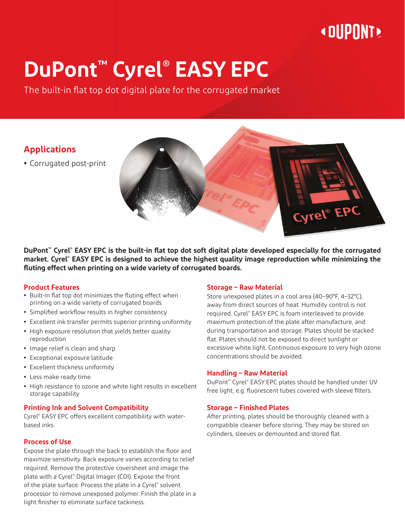# **« OUPONT »**

# **DuPont™ Cyrel® EASY EPC**

The built-in flat top dot digital plate for the corrugated market

### **Applications**

**•** Corrugated post-print



**DuPont™ Cyrel® EASY EPC is the built-in flat top dot soft digital plate developed especially for the corrugated market. Cyrel® EASY EPC is designed to achieve the highest quality image reproduction while minimizing the fluting effect when printing on a wide variety of corrugated boards.**

#### **Product Features**

- **•** Built-in flat top dot minimizes the fluting effect when printing on a wide variety of corrugated boards
- **•** Simplified workflow results in higher consistency
- **•** Excellent ink transfer permits superior printing uniformity
- **•** High exposure resolution that yields better quality reproduction
- **•** Image relief is clean and sharp
- **•** Exceptional exposure latitude
- **•** Excellent thickness uniformity
- **•** Less make ready time
- **•** High resistance to ozone and white light results in excellent storage capability

#### **Printing Ink and Solvent Compatibility**

Cyrel® EASY EPC offers excellent compatibility with waterbased inks.

#### **Process of Use**

Expose the plate through the back to establish the floor and maximize sensitivity. Back exposure varies according to relief required. Remove the protective coversheet and image the plate with a Cyrel® Digital Imager (CDI). Expose the front of the plate surface. Process the plate in a Cyrel® solvent processor to remove unexposed polymer. Finish the plate in a light finisher to eliminate surface tackiness.

#### **Storage – Raw Material**

Store unexposed plates in a cool area (40–90°F, 4–32°C), away from direct sources of heat. Humidity control is not required. Cyrel® EASY EPC is foam interleaved to provide maximum protection of the plate after manufacture, and during transportation and storage. Plates should be stacked flat. Plates should not be exposed to direct sunlight or excessive white light. Continuous exposure to very high ozone concentrations should be avoided.

#### **Handling – Raw Material**

DuPont™ Cyrel® EASY EPC plates should be handled under UV free light; e.g. fluorescent tubes covered with sleeve filters.

#### **Storage – Finished Plates**

After printing, plates should be thoroughly cleaned with a compatible cleaner before storing. They may be stored on cylinders, sleeves or demounted and stored flat.